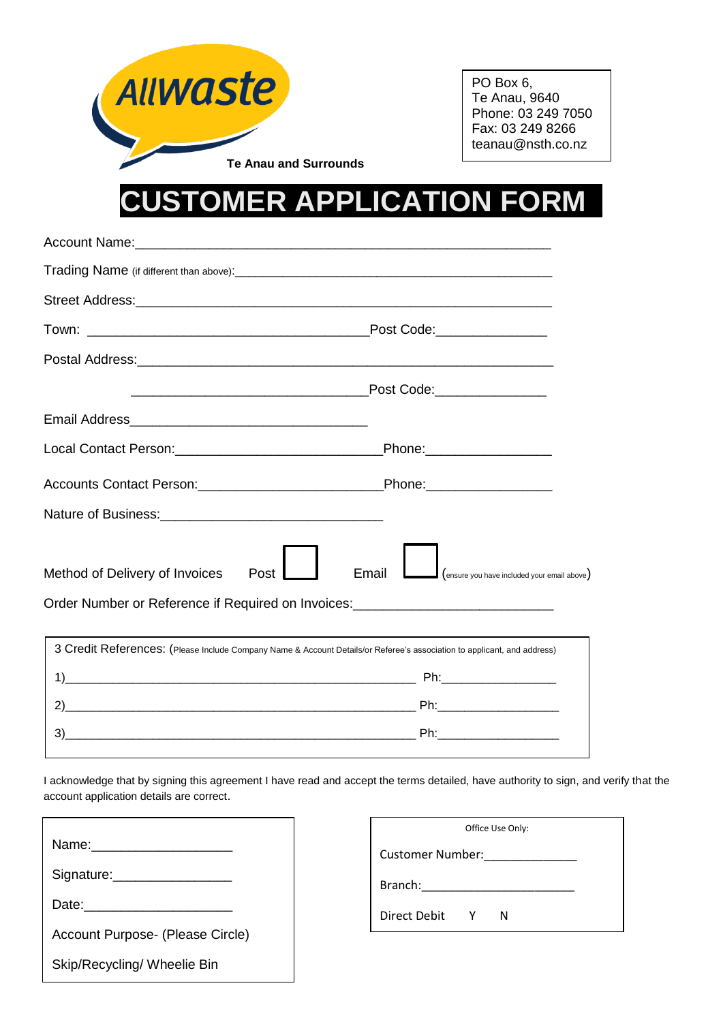

PO Box 6, Te Anau, 9640 Phone: 03 249 7050 Fax: 03 249 8266 teanau@nsth.co.nz

## **CUSTOMER APPLICATION FORM\_**

| Account Name: 1988 Communication of the Account Name:                                                                                                                                                                                       |  |  |  |
|---------------------------------------------------------------------------------------------------------------------------------------------------------------------------------------------------------------------------------------------|--|--|--|
|                                                                                                                                                                                                                                             |  |  |  |
|                                                                                                                                                                                                                                             |  |  |  |
|                                                                                                                                                                                                                                             |  |  |  |
|                                                                                                                                                                                                                                             |  |  |  |
|                                                                                                                                                                                                                                             |  |  |  |
|                                                                                                                                                                                                                                             |  |  |  |
|                                                                                                                                                                                                                                             |  |  |  |
|                                                                                                                                                                                                                                             |  |  |  |
|                                                                                                                                                                                                                                             |  |  |  |
| $\mathsf{J}\left($ ensure you have included your email above)                                                                                                                                                                               |  |  |  |
| Order Number or Reference if Required on Invoices: _____________________________                                                                                                                                                            |  |  |  |
| and the control of the control of the control of the control of the control of the control of the control of the<br>3 Credit References: (Please Include Company Name & Account Details/or Referee's association to applicant, and address) |  |  |  |
|                                                                                                                                                                                                                                             |  |  |  |
|                                                                                                                                                                                                                                             |  |  |  |
|                                                                                                                                                                                                                                             |  |  |  |
|                                                                                                                                                                                                                                             |  |  |  |

I acknowledge that by signing this agreement I have read and accept the terms detailed, have authority to sign, and verify that the account application details are correct.

| Signature: ___________________   |
|----------------------------------|
|                                  |
| Account Purpose- (Please Circle) |
| Skip/Recycling/ Wheelie Bin      |

| Office Use Only: |   |   |  |  |  |  |
|------------------|---|---|--|--|--|--|
| Customer Number: |   |   |  |  |  |  |
| Branch:          |   |   |  |  |  |  |
| Direct Debit     | Y | N |  |  |  |  |
|                  |   |   |  |  |  |  |